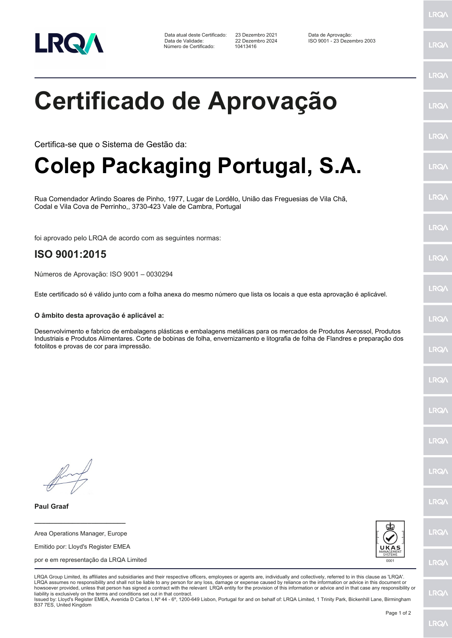

Data atual deste Certificado: 23 Dezembro 2021<br>Data de Validade: 22 Dezembro 2024 Número de Certificado:

23 Dezembro 2021 Data de Aprovação:<br>22 Dezembro 2024 ISO 9001 - 23 Dezembro 2003<br>10413416

LRQ/

LRQ/

## LRQ/ **Certificado de Aprovação IRQ/** LRQ/ Certifica-se que o Sistema de Gestão da: **Colep Packaging Portugal, S.A.** LRQ/ LRQ/ Rua Comendador Arlindo Soares de Pinho, 1977, Lugar de Lordêlo, União das Freguesias de Vila Chã, Codal e Vila Cova de Perrinho,, 3730-423 Vale de Cambra, Portugal LRQ/ foi aprovado pelo LRQA de acordo com as seguintes normas: **ISO 9001:2015 LRQA** Números de Aprovação: ISO 9001 – 0030294 LRQ/ Este certificado só é válido junto com a folha anexa do mesmo número que lista os locais a que esta aprovação é aplicável. **O âmbito desta aprovação é aplicável a:** LRQ/ Desenvolvimento e fabrico de embalagens plásticas e embalagens metálicas para os mercados de Produtos Aerossol, Produtos Industriais e Produtos Alimentares. Corte de bobinas de folha, envernizamento e litografia de folha de Flandres e preparação dos fotolitos e provas de cor para impressão.LRQ/ LRQ/ LRQ/ **IRQ IRQA** LRQ/ **Paul Graaf \_\_\_\_\_\_\_\_\_\_\_\_\_\_\_\_\_\_\_\_\_\_\_\_** LRQ/ Area Operations Manager, Europe Emitido por: Lloyd's Register EMEA por e em representação da LRQA Limited **LRQ/** LRQA Group Limited, its affiliates and subsidiaries and their respective officers, employees or agents are, individually and collectively, referred to in this clause as 'LRQA'. LRQA assumes no responsibility and shall not be liable to any person for any loss, damage or expense caused by reliance on the information or advice in this document or howsoever provided, unless that person has signed a contract with the relevant LRQA entity for the provision of this information or advice and in that case any responsibility or LRQ/ liability is exclusively on the terms and conditions set out in that contract.

Issued by: Lloyd's Register EMEA, Avenida D Carlos I, Nº 44 - 6º, 1200-649 Lisbon, Portugal for and on behalf of: LRQA Limited, 1 Trinity Park, Bickenhill Lane, Birmingham B37 7ES, United Kingdom